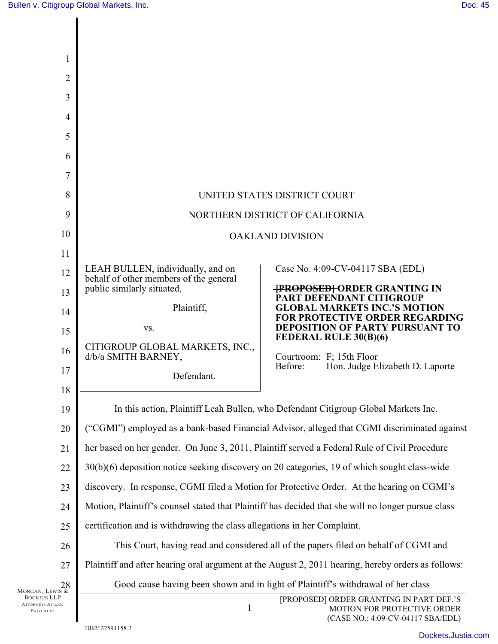| 1                                    |                                                                                                    |                                                                                                              |
|--------------------------------------|----------------------------------------------------------------------------------------------------|--------------------------------------------------------------------------------------------------------------|
| 2                                    |                                                                                                    |                                                                                                              |
| 3                                    |                                                                                                    |                                                                                                              |
| 4                                    |                                                                                                    |                                                                                                              |
| 5                                    |                                                                                                    |                                                                                                              |
| 6                                    |                                                                                                    |                                                                                                              |
| 7                                    |                                                                                                    |                                                                                                              |
| 8                                    |                                                                                                    | UNITED STATES DISTRICT COURT                                                                                 |
| 9                                    | NORTHERN DISTRICT OF CALIFORNIA                                                                    |                                                                                                              |
| 10                                   | <b>OAKLAND DIVISION</b>                                                                            |                                                                                                              |
| 11                                   |                                                                                                    |                                                                                                              |
| 12                                   | LEAH BULLEN, individually, and on<br>behalf of other members of the general                        | Case No. 4:09-CV-04117 SBA (EDL)                                                                             |
| 13                                   | public similarly situated,                                                                         | <b>{PROPOSED}</b> ORDER GRANTING IN<br>PART DEFENDANT CITIGROUP                                              |
| 14                                   | Plaintiff,                                                                                         | <b>GLOBAL MARKETS INC.'S MOTION</b><br><b>FOR PROTECTIVE ORDER REGARDING</b>                                 |
| 15                                   | VS.                                                                                                | <b>DEPOSITION OF PARTY PURSUANT TO</b><br>FEDERAL RULE 30(B)(6)                                              |
| 16                                   | CITIGROUP GLOBAL MARKETS, INC.,<br>d/b/a SMITH BARNEY,                                             | Courtroom: F; 15th Floor                                                                                     |
| 17                                   | Defendant.                                                                                         | Before:<br>Hon. Judge Elizabeth D. Laporte                                                                   |
| 18                                   |                                                                                                    |                                                                                                              |
| 19                                   | In this action, Plaintiff Leah Bullen, who Defendant Citigroup Global Markets Inc.                 |                                                                                                              |
| 20                                   | ("CGMI") employed as a bank-based Financial Advisor, alleged that CGMI discriminated against       |                                                                                                              |
| 21                                   | her based on her gender. On June 3, 2011, Plaintiff served a Federal Rule of Civil Procedure       |                                                                                                              |
| 22                                   | 30(b)(6) deposition notice seeking discovery on 20 categories, 19 of which sought class-wide       |                                                                                                              |
| 23                                   | discovery. In response, CGMI filed a Motion for Protective Order. At the hearing on CGMI's         |                                                                                                              |
| 24                                   | Motion, Plaintiff's counsel stated that Plaintiff has decided that she will no longer pursue class |                                                                                                              |
| 25                                   | certification and is withdrawing the class allegations in her Complaint.                           |                                                                                                              |
| 26                                   | This Court, having read and considered all of the papers filed on behalf of CGMI and               |                                                                                                              |
| 27                                   | Plaintiff and after hearing oral argument at the August 2, 2011 hearing, hereby orders as follows: |                                                                                                              |
| 28<br>Morgan, Lewis &<br>Bockius LLP | Good cause having been shown and in light of Plaintiff's withdrawal of her class                   |                                                                                                              |
| <b>ATTORNEYS AT LAW</b><br>PALO ALTO | $\mathbf{1}$                                                                                       | [PROPOSED] ORDER GRANTING IN PART DEF.'S<br>MOTION FOR PROTECTIVE ORDER<br>(CASE NO.: 4:09-CV-04117 SBA/EDL) |